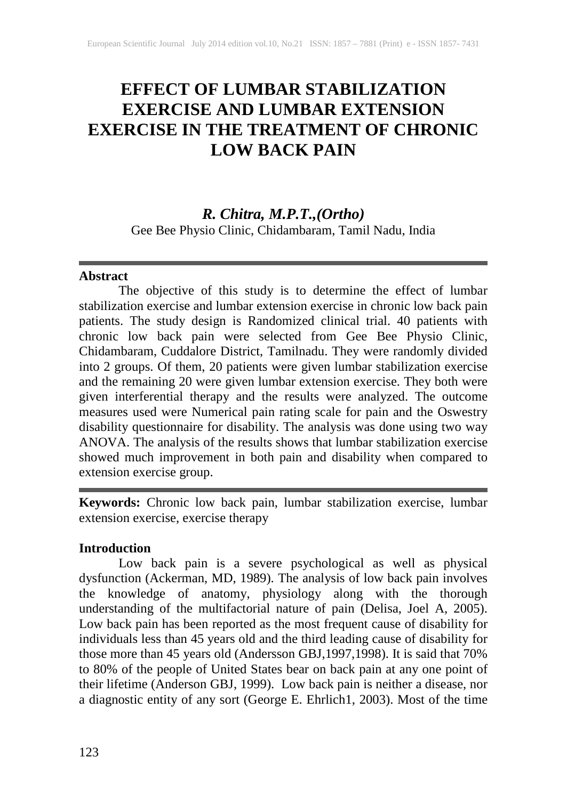# **EFFECT OF LUMBAR STABILIZATION EXERCISE AND LUMBAR EXTENSION EXERCISE IN THE TREATMENT OF CHRONIC LOW BACK PAIN**

# *R. Chitra, M.P.T.,(Ortho)*

Gee Bee Physio Clinic, Chidambaram, Tamil Nadu, India

#### **Abstract**

The objective of this study is to determine the effect of lumbar stabilization exercise and lumbar extension exercise in chronic low back pain patients. The study design is Randomized clinical trial. 40 patients with chronic low back pain were selected from Gee Bee Physio Clinic, Chidambaram, Cuddalore District, Tamilnadu. They were randomly divided into 2 groups. Of them, 20 patients were given lumbar stabilization exercise and the remaining 20 were given lumbar extension exercise. They both were given interferential therapy and the results were analyzed. The outcome measures used were Numerical pain rating scale for pain and the Oswestry disability questionnaire for disability. The analysis was done using two way ANOVA. The analysis of the results shows that lumbar stabilization exercise showed much improvement in both pain and disability when compared to extension exercise group.

**Keywords:** Chronic low back pain, lumbar stabilization exercise, lumbar extension exercise, exercise therapy

#### **Introduction**

Low back pain is a severe psychological as well as physical dysfunction (Ackerman, MD, 1989). The analysis of low back pain involves the knowledge of anatomy, physiology along with the thorough understanding of the multifactorial nature of pain (Delisa, Joel A, 2005). Low back pain has been reported as the most frequent cause of disability for individuals less than 45 years old and the third leading cause of disability for those more than 45 years old (Andersson GBJ,1997,1998). It is said that 70% to 80% of the people of United States bear on back pain at any one point of their lifetime (Anderson GBJ, 1999). Low back pain is neither a disease, nor a diagnostic entity of any sort (George E. Ehrlich1, 2003). Most of the time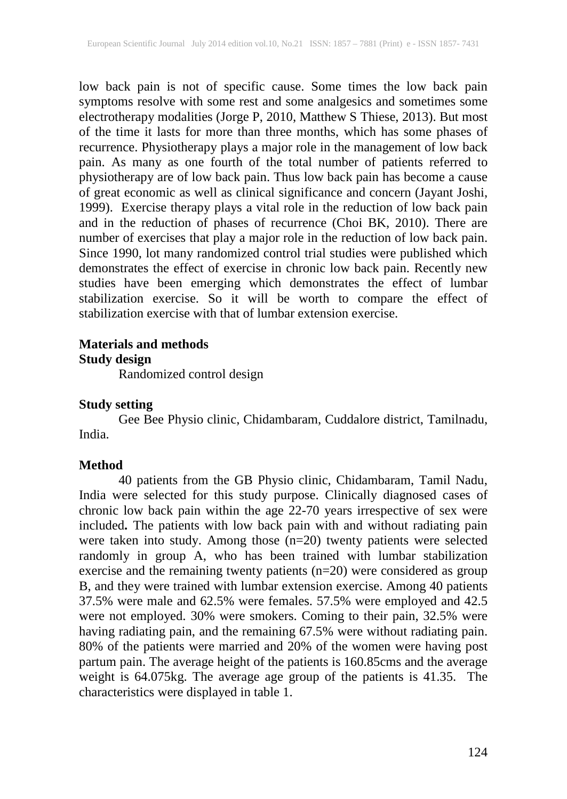low back pain is not of specific cause. Some times the low back pain symptoms resolve with some rest and some analgesics and sometimes some electrotherapy modalities (Jorge P, 2010, Matthew S Thiese, 2013). But most of the time it lasts for more than three months, which has some phases of recurrence. Physiotherapy plays a major role in the management of low back pain. As many as one fourth of the total number of patients referred to physiotherapy are of low back pain. Thus low back pain has become a cause of great economic as well as clinical significance and concern (Jayant Joshi, 1999). Exercise therapy plays a vital role in the reduction of low back pain and in the reduction of phases of recurrence (Choi BK, 2010). There are number of exercises that play a major role in the reduction of low back pain. Since 1990, lot many randomized control trial studies were published which demonstrates the effect of exercise in chronic low back pain. Recently new studies have been emerging which demonstrates the effect of lumbar stabilization exercise. So it will be worth to compare the effect of stabilization exercise with that of lumbar extension exercise.

## **Materials and methods Study design**

Randomized control design

## **Study setting**

Gee Bee Physio clinic, Chidambaram, Cuddalore district, Tamilnadu, India.

# **Method**

40 patients from the GB Physio clinic, Chidambaram, Tamil Nadu, India were selected for this study purpose. Clinically diagnosed cases of chronic low back pain within the age 22-70 years irrespective of sex were included**.** The patients with low back pain with and without radiating pain were taken into study. Among those (n=20) twenty patients were selected randomly in group A, who has been trained with lumbar stabilization exercise and the remaining twenty patients (n=20) were considered as group B, and they were trained with lumbar extension exercise. Among 40 patients 37.5% were male and 62.5% were females. 57.5% were employed and 42.5 were not employed. 30% were smokers. Coming to their pain, 32.5% were having radiating pain, and the remaining 67.5% were without radiating pain. 80% of the patients were married and 20% of the women were having post partum pain. The average height of the patients is 160.85cms and the average weight is 64.075kg. The average age group of the patients is 41.35. The characteristics were displayed in table 1.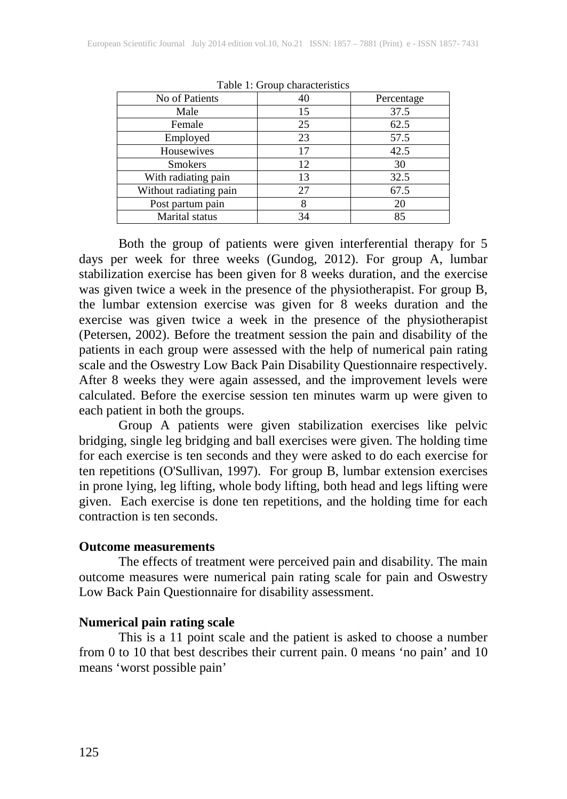| No of Patients         | 40 | Percentage |
|------------------------|----|------------|
| Male                   | 15 | 37.5       |
| Female                 | 25 | 62.5       |
| Employed               | 23 | 57.5       |
| Housewives             | 17 | 42.5       |
| <b>Smokers</b>         | 12 | 30         |
| With radiating pain    | 13 | 32.5       |
| Without radiating pain | 27 | 67.5       |
| Post partum pain       | 8  | 20         |
| <b>Marital</b> status  | 34 | 85         |

Table 1: Group characteristics

Both the group of patients were given interferential therapy for 5 days per week for three weeks (Gundog, 2012). For group A, lumbar stabilization exercise has been given for 8 weeks duration, and the exercise was given twice a week in the presence of the physiotherapist. For group B, the lumbar extension exercise was given for 8 weeks duration and the exercise was given twice a week in the presence of the physiotherapist (Petersen, 2002). Before the treatment session the pain and disability of the patients in each group were assessed with the help of numerical pain rating scale and the Oswestry Low Back Pain Disability Questionnaire respectively. After 8 weeks they were again assessed, and the improvement levels were calculated. Before the exercise session ten minutes warm up were given to each patient in both the groups.

Group A patients were given stabilization exercises like pelvic bridging, single leg bridging and ball exercises were given. The holding time for each exercise is ten seconds and they were asked to do each exercise for ten repetitions (O'Sullivan, 1997). For group B, lumbar extension exercises in prone lying, leg lifting, whole body lifting, both head and legs lifting were given. Each exercise is done ten repetitions, and the holding time for each contraction is ten seconds.

#### **Outcome measurements**

The effects of treatment were perceived pain and disability. The main outcome measures were numerical pain rating scale for pain and Oswestry Low Back Pain Questionnaire for disability assessment.

#### **Numerical pain rating scale**

This is a 11 point scale and the patient is asked to choose a number from 0 to 10 that best describes their current pain. 0 means 'no pain' and 10 means 'worst possible pain'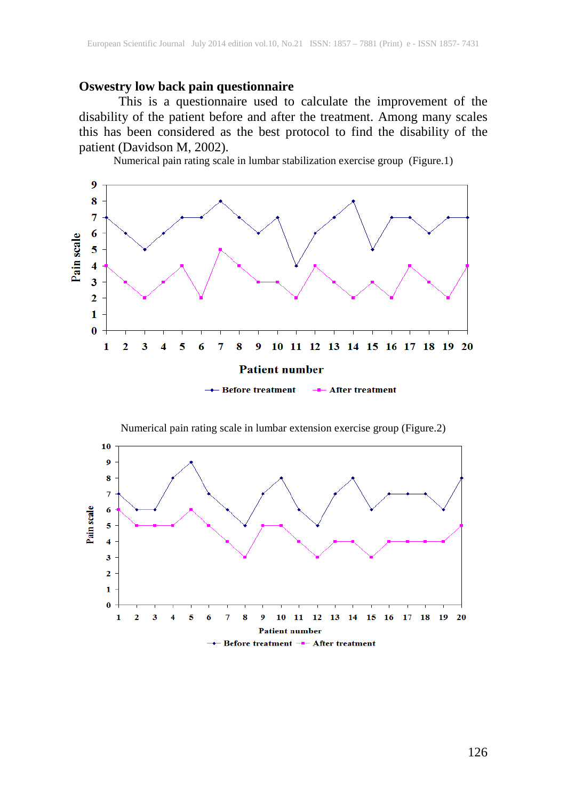#### **Oswestry low back pain questionnaire**

This is a questionnaire used to calculate the improvement of the disability of the patient before and after the treatment. Among many scales this has been considered as the best protocol to find the disability of the patient (Davidson M, 2002).

Numerical pain rating scale in lumbar stabilization exercise group (Figure.1)



Numerical pain rating scale in lumbar extension exercise group (Figure.2)

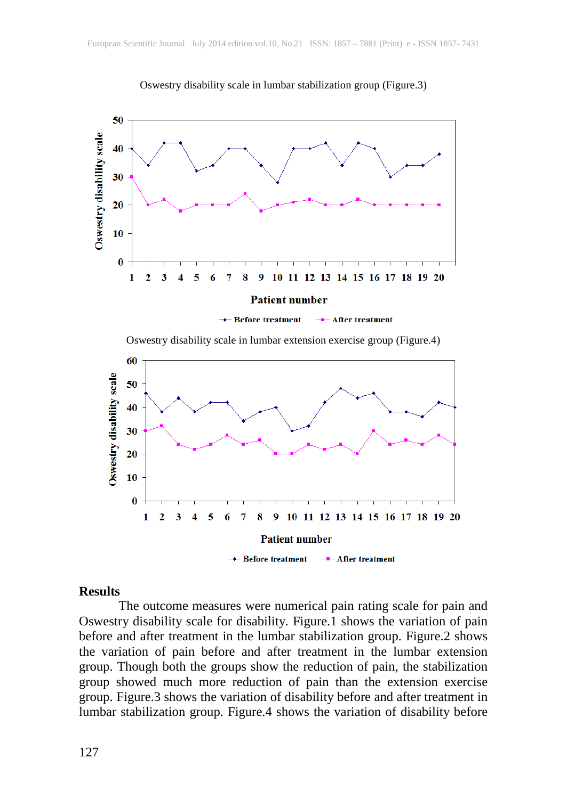







#### **Results**

The outcome measures were numerical pain rating scale for pain and Oswestry disability scale for disability. Figure.1 shows the variation of pain before and after treatment in the lumbar stabilization group. Figure.2 shows the variation of pain before and after treatment in the lumbar extension group. Though both the groups show the reduction of pain, the stabilization group showed much more reduction of pain than the extension exercise group. Figure.3 shows the variation of disability before and after treatment in lumbar stabilization group. Figure.4 shows the variation of disability before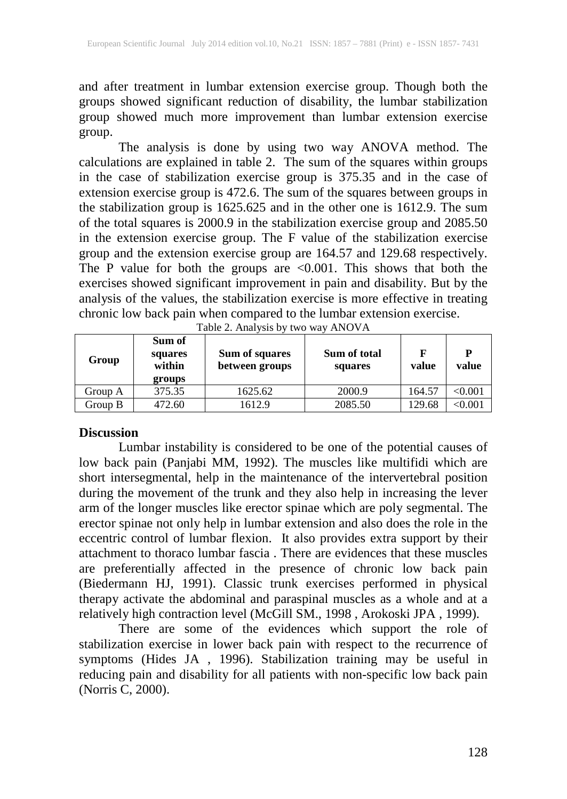and after treatment in lumbar extension exercise group. Though both the groups showed significant reduction of disability, the lumbar stabilization group showed much more improvement than lumbar extension exercise group.

The analysis is done by using two way ANOVA method. The calculations are explained in table 2. The sum of the squares within groups in the case of stabilization exercise group is 375.35 and in the case of extension exercise group is 472.6. The sum of the squares between groups in the stabilization group is 1625.625 and in the other one is 1612.9. The sum of the total squares is 2000.9 in the stabilization exercise group and 2085.50 in the extension exercise group. The F value of the stabilization exercise group and the extension exercise group are 164.57 and 129.68 respectively. The P value for both the groups are  $\leq 0.001$ . This shows that both the exercises showed significant improvement in pain and disability. But by the analysis of the values, the stabilization exercise is more effective in treating chronic low back pain when compared to the lumbar extension exercise.

| Group   | Sum of<br>squares<br>within<br>groups | Sum of squares<br>between groups | Sum of total<br>squares | F<br>value | P<br>value     |
|---------|---------------------------------------|----------------------------------|-------------------------|------------|----------------|
| Group A | 375.35                                | 1625.62                          | 2000.9                  | 164.57     | < 0.001        |
| Group B | 472.60                                | 1612.9                           | 2085.50                 | 129.68     | $< \!\! 0.001$ |

Table 2. Analysis by two way ANOVA

#### **Discussion**

Lumbar instability is considered to be one of the potential causes of low back pain (Panjabi MM, 1992). The muscles like multifidi which are short intersegmental, help in the maintenance of the intervertebral position during the movement of the trunk and they also help in increasing the lever arm of the longer muscles like erector spinae which are poly segmental. The erector spinae not only help in lumbar extension and also does the role in the eccentric control of lumbar flexion. It also provides extra support by their attachment to thoraco lumbar fascia . There are evidences that these muscles are preferentially affected in the presence of chronic low back pain (Biedermann HJ, 1991). Classic trunk exercises performed in physical therapy activate the abdominal and paraspinal muscles as a whole and at a relatively high contraction level (McGill SM., 1998 , Arokoski JPA , 1999).

There are some of the evidences which support the role of stabilization exercise in lower back pain with respect to the recurrence of symptoms (Hides JA , 1996). Stabilization training may be useful in reducing pain and disability for all patients with non-specific low back pain (Norris C, 2000).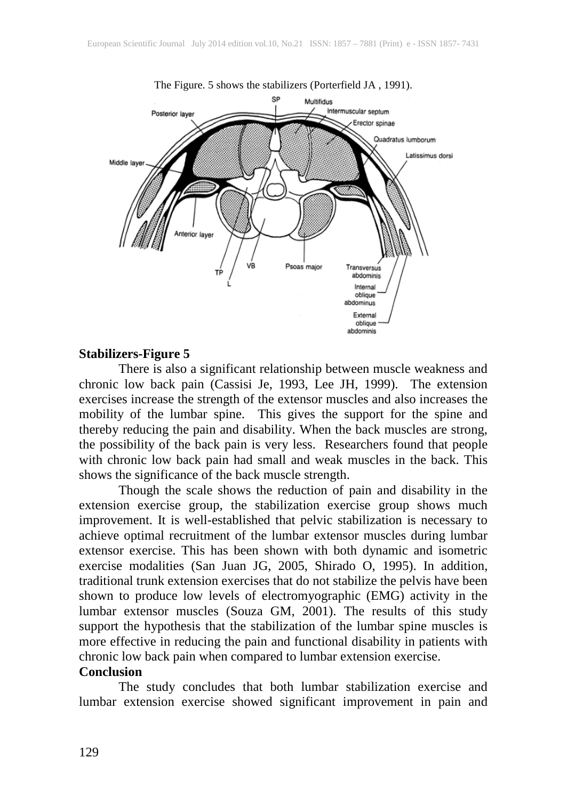

#### **Stabilizers-Figure 5**

There is also a significant relationship between muscle weakness and chronic low back pain (Cassisi Je, 1993, Lee JH, 1999). The extension exercises increase the strength of the extensor muscles and also increases the mobility of the lumbar spine. This gives the support for the spine and thereby reducing the pain and disability. When the back muscles are strong, the possibility of the back pain is very less. Researchers found that people with chronic low back pain had small and weak muscles in the back. This shows the significance of the back muscle strength.

Though the scale shows the reduction of pain and disability in the extension exercise group, the stabilization exercise group shows much improvement. It is well-established that pelvic stabilization is necessary to achieve optimal recruitment of the lumbar extensor muscles during lumbar extensor exercise. This has been shown with both dynamic and isometric exercise modalities (San Juan JG, 2005, Shirado O, 1995). In addition, traditional trunk extension exercises that do not stabilize the pelvis have been shown to produce low levels of electromyographic (EMG) activity in the lumbar extensor muscles (Souza GM, 2001). The results of this study support the hypothesis that the stabilization of the lumbar spine muscles is more effective in reducing the pain and functional disability in patients with chronic low back pain when compared to lumbar extension exercise.

#### **Conclusion**

The study concludes that both lumbar stabilization exercise and lumbar extension exercise showed significant improvement in pain and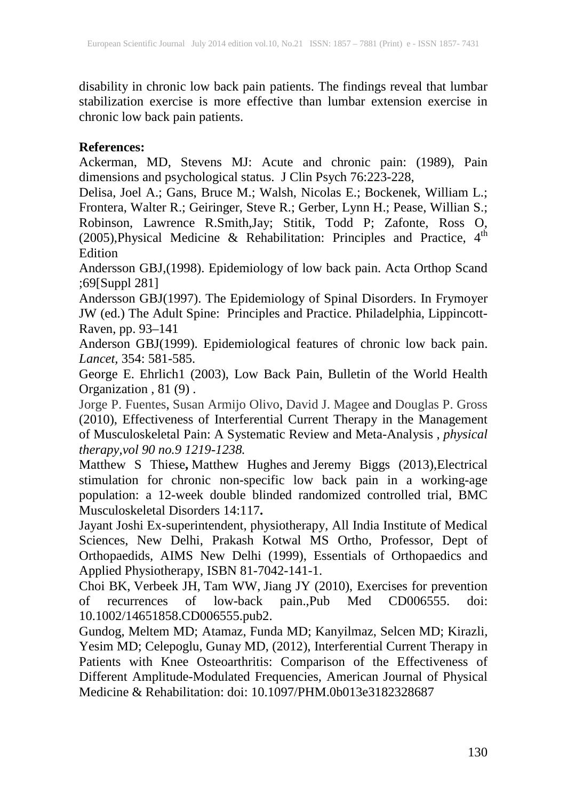disability in chronic low back pain patients. The findings reveal that lumbar stabilization exercise is more effective than lumbar extension exercise in chronic low back pain patients.

# **References:**

Ackerman, MD, Stevens MJ: Acute and chronic pain: (1989), Pain dimensions and psychological status. J Clin Psych 76:223-228,

Delisa, Joel A.; Gans, Bruce M.; Walsh, Nicolas E.; Bockenek, William L.; Frontera, Walter R.; Geiringer, Steve R.; Gerber, Lynn H.; Pease, Willian S.; Robinson, Lawrence R.Smith,Jay; Stitik, Todd P; Zafonte, Ross O, (2005), Physical Medicine & Rehabilitation: Principles and Practice,  $4<sup>th</sup>$ **Edition** 

Andersson GBJ,(1998). Epidemiology of low back pain. Acta Orthop Scand ;69[Suppl 281]

Andersson GBJ(1997). The Epidemiology of Spinal Disorders. In Frymoyer JW (ed.) The Adult Spine: Principles and Practice. Philadelphia, Lippincott-Raven, pp. 93–141

Anderson GBJ(1999). Epidemiological features of chronic low back pain. *Lancet,* 354: 581-585.

George E. Ehrlich1 (2003), Low Back Pain, Bulletin of the World Health Organization, 81 $(9)$ .

[Jorge P. Fuentes,](http://ptjournal.apta.org/search?author1=Jorge+P.+Fuentes&sortspec=date&submit=Submit) [Susan Armijo Olivo,](http://ptjournal.apta.org/search?author1=Susan+Armijo+Olivo&sortspec=date&submit=Submit) [David J. Magee](http://ptjournal.apta.org/search?author1=David+J.+Magee&sortspec=date&submit=Submit) and [Douglas P. Gross](http://ptjournal.apta.org/search?author1=Douglas+P.+Gross&sortspec=date&submit=Submit) (2010), Effectiveness of Interferential Current Therapy in the Management of Musculoskeletal Pain: A Systematic Review and Meta-Analysis , *physical therapy,vol 90 no.9 1219-1238.*

Matthew S Thiese**,** Matthew Hughes and Jeremy Biggs (2013),Electrical stimulation for chronic non-specific low back pain in a working-age population: a 12-week double blinded randomized controlled trial, BMC Musculoskeletal Disorders 14:117**.**

Jayant Joshi Ex-superintendent, physiotherapy, All India Institute of Medical Sciences, New Delhi, Prakash Kotwal MS Ortho, Professor, Dept of Orthopaedids, AIMS New Delhi (1999), Essentials of Orthopaedics and Applied Physiotherapy, ISBN 81-7042-141-1.

Choi BK, Verbeek JH, Tam WW, Jiang JY (2010), Exercises for prevention of recurrences of low-back pain.,Pub Med CD006555. doi: 10.1002/14651858.CD006555.pub2.

Gundog, Meltem MD; Atamaz, Funda MD; Kanyilmaz, Selcen MD; Kirazli, Yesim MD; Celepoglu, Gunay MD, (2012), Interferential Current Therapy in Patients with Knee Osteoarthritis: Comparison of the Effectiveness of Different Amplitude-Modulated Frequencies, American Journal of Physical Medicine & Rehabilitation: doi: 10.1097/PHM.0b013e3182328687